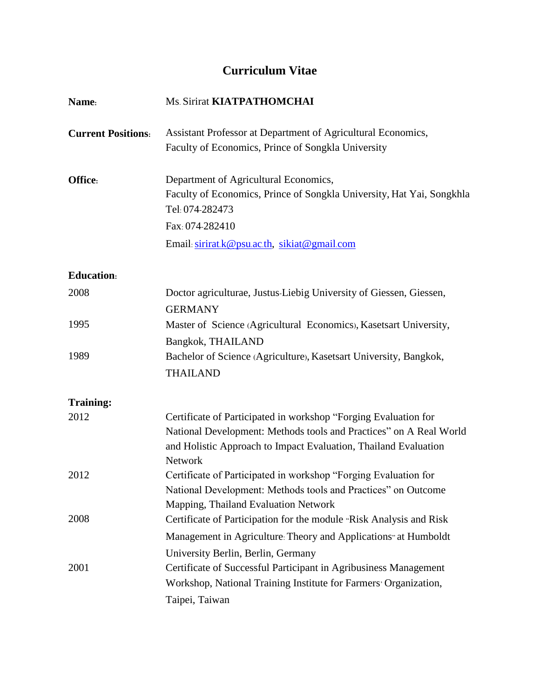# **Curriculum Vitae**

| Name:                     | Ms. Sirirat KIATPATHOMCHAI                                                                                                                                                                                          |
|---------------------------|---------------------------------------------------------------------------------------------------------------------------------------------------------------------------------------------------------------------|
| <b>Current Positions:</b> | Assistant Professor at Department of Agricultural Economics,<br>Faculty of Economics, Prince of Songkla University                                                                                                  |
| Office:                   | Department of Agricultural Economics,<br>Faculty of Economics, Prince of Songkla University, Hat Yai, Songkhla<br>Tel: 074-282473                                                                                   |
|                           | Fax: 074-282410                                                                                                                                                                                                     |
|                           | Email: sirirat.k@psu.ac.th, sikiat@gmail.com                                                                                                                                                                        |
| <b>Education:</b>         |                                                                                                                                                                                                                     |
| 2008                      | Doctor agriculturae, Justus-Liebig University of Giessen, Giessen,<br><b>GERMANY</b>                                                                                                                                |
| 1995                      | Master of Science (Agricultural Economics), Kasetsart University,<br>Bangkok, THAILAND                                                                                                                              |
| 1989                      | Bachelor of Science (Agriculture), Kasetsart University, Bangkok,<br><b>THAILAND</b>                                                                                                                                |
| <b>Training:</b>          |                                                                                                                                                                                                                     |
| 2012                      | Certificate of Participated in workshop "Forging Evaluation for<br>National Development: Methods tools and Practices" on A Real World<br>and Holistic Approach to Impact Evaluation, Thailand Evaluation<br>Network |
| 2012                      | Certificate of Participated in workshop "Forging Evaluation for<br>National Development: Methods tools and Practices" on Outcome<br>Mapping, Thailand Evaluation Network                                            |
| 2008                      | Certificate of Participation for the module "Risk Analysis and Risk                                                                                                                                                 |
|                           | Management in Agriculture: Theory and Applications" at Humboldt                                                                                                                                                     |
|                           | University Berlin, Berlin, Germany                                                                                                                                                                                  |
| 2001                      | Certificate of Successful Participant in Agribusiness Management<br>Workshop, National Training Institute for Farmers <sup>,</sup> Organization,                                                                    |
|                           | Taipei, Taiwan                                                                                                                                                                                                      |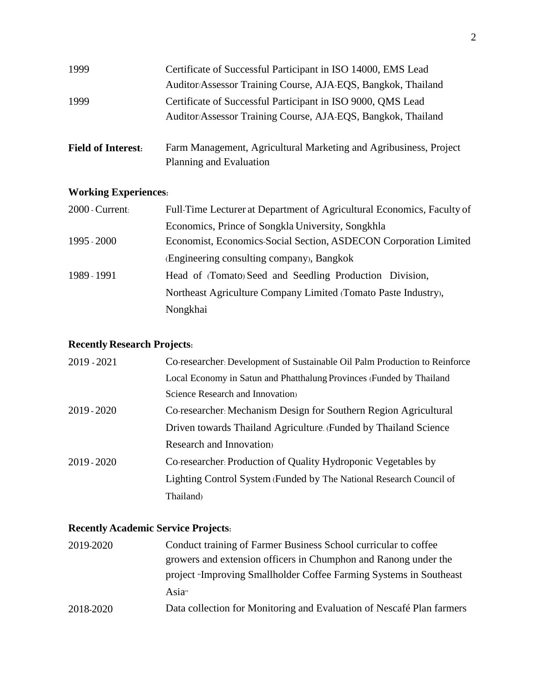| 1999                      | Certificate of Successful Participant in ISO 14000, EMS Lead      |
|---------------------------|-------------------------------------------------------------------|
|                           | Auditor/Assessor Training Course, AJA-EQS, Bangkok, Thailand      |
| 1999                      | Certificate of Successful Participant in ISO 9000, QMS Lead       |
|                           | Auditor/Assessor Training Course, AJA-EQS, Bangkok, Thailand      |
|                           |                                                                   |
| <b>Field of Interest:</b> | Farm Management, Agricultural Marketing and Agribusiness, Project |
|                           | Planning and Evaluation                                           |

## **Working Experiences:**

| $2000$ - Current: | Full-Time Lecturer at Department of Agricultural Economics, Faculty of |
|-------------------|------------------------------------------------------------------------|
|                   | Economics, Prince of Songkla University, Songkhla                      |
| 1995 - 2000       | Economist, Economics-Social Section, ASDECON Corporation Limited       |
|                   | (Engineering consulting company), Bangkok                              |
| 1989 - 1991       | Head of (Tomato) Seed and Seedling Production Division,                |
|                   | Northeast Agriculture Company Limited (Tomato Paste Industry),         |
|                   | Nongkhai                                                               |

## **Recently Research Projects:**

| 2019 - 2021 | Co-researcher. Development of Sustainable Oil Palm Production to Reinforce |
|-------------|----------------------------------------------------------------------------|
|             |                                                                            |
|             | Local Economy in Satun and Phatthalung Provinces (Funded by Thailand       |
|             | Science Research and Innovation                                            |
| 2019 - 2020 | Co-researcher: Mechanism Design for Southern Region Agricultural           |
|             | Driven towards Thailand Agriculture. (Funded by Thailand Science)          |
|             | Research and Innovation                                                    |
| 2019 - 2020 | Co-researcher: Production of Quality Hydroponic Vegetables by              |
|             | Lighting Control System (Funded by The National Research Council of        |
|             | Thailand)                                                                  |

## **Recently Academic Service Projects:**

| 2019-2020 | Conduct training of Farmer Business School curricular to coffee       |
|-----------|-----------------------------------------------------------------------|
|           | growers and extension officers in Chumphon and Ranong under the       |
|           | project "Improving Smallholder Coffee Farming Systems in Southeast    |
|           | Asia <sup>"</sup>                                                     |
| 2018-2020 | Data collection for Monitoring and Evaluation of Nescafé Plan farmers |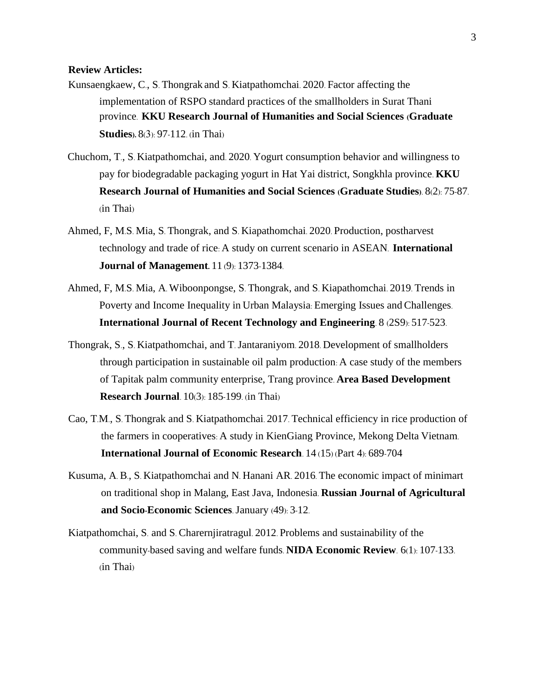#### **Review Articles:**

- Kunsaengkaew, C., S. Thongrak and S. Kiatpathomchai. 2020. Factor affecting the implementation of RSPO standard practices of the smallholders in Surat Thani province. **KKU Research Journal of Humanities and Social Sciences (Graduate Studies).** 8(3): 97-112. (in Thai)
- Chuchom, T., S. Kiatpathomchai, and. 2020. Yogurt consumption behavior and willingness to pay for biodegradable packaging yogurt in Hat Yai district, Songkhla province. **KKU Research Journal of Humanities and Social Sciences (Graduate Studies)**. 8(2): 75-87. (in Thai)
- Ahmed, F, M.S. Mia, S. Thongrak, and S. Kiapathomchai. 2020. Production, postharvest technology and trade of rice: A study on current scenario in ASEAN. **International Journal of Management.** 11 (9): 1373-1384.
- Ahmed, F, M.S. Mia, A. Wiboonpongse, S. Thongrak, and S. Kiapathomchai. 2019. Trends in Poverty and Income Inequality in Urban Malaysia: Emerging Issues and Challenges. **International Journal of Recent Technology and Engineering**. 8 (2S9): 517-523.
- Thongrak, S., S. Kiatpathomchai, and T. Jantaraniyom. 2018. Development of smallholders through participation in sustainable oil palm production: A case study of the members of Tapitak palm community enterprise, Trang province. **Area Based Development Research Journal**. 10(3): 185-199. (in Thai)
- Cao, T.M., S. Thongrak and S. Kiatpathomchai. 2017. Technical efficiency in rice production of the farmers in cooperatives: A study in KienGiang Province, Mekong Delta Vietnam. **International Journal of Economic Research**. 14 (15) (Part 4): 689-704
- Kusuma, A. B., S. Kiatpathomchai and N. Hanani AR. 2016. The economic impact of minimart on traditional shop in Malang, East Java, Indonesia. **Russian Journal of Agricultural and Socio-Economic Sciences**. January (49): 3-12.
- Kiatpathomchai, S. and S. Charernjiratragul. 2012. Problems and sustainability of the community-based saving and welfare funds. **NIDA Economic Review**. 6(1): 107-133. (in Thai)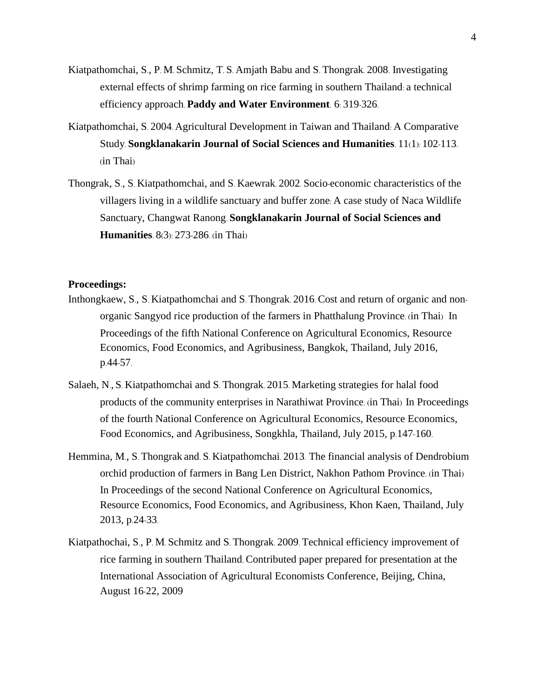- Kiatpathomchai, S., P. M. Schmitz, T. S. Amjath Babu and S. Thongrak. 2008. Investigating external effects of shrimp farming on rice farming in southern Thailand: a technical efficiency approach. **Paddy and Water Environment**. 6: 319-326.
- Kiatpathomchai, S. 2004. Agricultural Development in Taiwan and Thailand: A Comparative Study. **Songklanakarin Journal of Social Sciences and Humanities**. 11(1): 102-113. (in Thai)
- Thongrak, S., S. Kiatpathomchai, and S. Kaewrak. 2002. Socio-economic characteristics of the villagers living in a wildlife sanctuary and buffer zone: A case study of Naca Wildlife Sanctuary, Changwat Ranong. **Songklanakarin Journal of Social Sciences and Humanities**. 8(3): 273-286. (in Thai)

#### **Proceedings:**

- Inthongkaew, S., S. Kiatpathomchai and S. Thongrak. 2016. Cost and return of organic and nonorganic Sangyod rice production of the farmers in Phatthalung Province. (in Thai) In Proceedings of the fifth National Conference on Agricultural Economics, Resource Economics, Food Economics, and Agribusiness, Bangkok, Thailand, July 2016, p.44-57.
- Salaeh, N., S. Kiatpathomchai and S. Thongrak. 2015. Marketing strategies for halal food products of the community enterprises in Narathiwat Province. (in Thai) In Proceedings of the fourth National Conference on Agricultural Economics, Resource Economics, Food Economics, and Agribusiness, Songkhla, Thailand, July 2015, p.147-160.
- Hemmina, M., S. Thongrak and. S. Kiatpathomchai. 2013. The financial analysis of Dendrobium orchid production of farmers in Bang Len District, Nakhon Pathom Province. (in Thai) In Proceedings of the second National Conference on Agricultural Economics, Resource Economics, Food Economics, and Agribusiness, Khon Kaen, Thailand, July 2013, p.24-33.
- Kiatpathochai, S., P. M. Schmitz and S. Thongrak. 2009. Technical efficiency improvement of rice farming in southern Thailand. Contributed paper prepared for presentation at the International Association of Agricultural Economists Conference, Beijing, China, August 16-22, 2009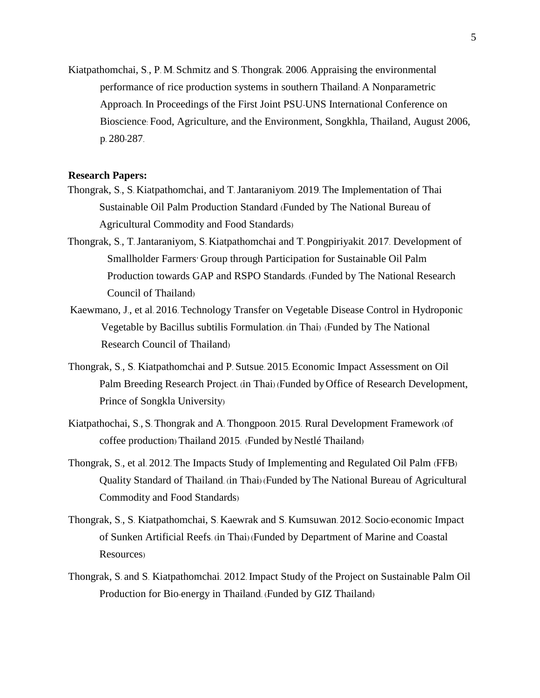Kiatpathomchai, S., P. M. Schmitz and S. Thongrak. 2006. Appraising the environmental performance of rice production systems in southern Thailand: A Nonparametric Approach. In Proceedings of the First Joint PSU-UNS International Conference on Bioscience: Food, Agriculture, and the Environment, Songkhla, Thailand, August 2006, p. 280-287.

#### **Research Papers:**

- Thongrak, S., S. Kiatpathomchai, and T. Jantaraniyom. 2019. The Implementation of Thai Sustainable Oil Palm Production Standard (Funded by The National Bureau of Agricultural Commodity and Food Standards)
- Thongrak, S., T. Jantaraniyom, S. Kiatpathomchai and T. Pongpiriyakit. 2017. Development of Smallholder Farmers' Group through Participation for Sustainable Oil Palm Production towards GAP and RSPO Standards. (Funded by The National Research Council of Thailand)
- Kaewmano, J., et al. 2016. Technology Transfer on Vegetable Disease Control in Hydroponic Vegetable by Bacillus subtilis Formulation. (in Thai) (Funded by The National Research Council of Thailand)
- Thongrak, S., S. Kiatpathomchai and P. Sutsue. 2015. Economic Impact Assessment on Oil Palm Breeding Research Project. (in Thai) (Funded byOffice of Research Development, Prince of Songkla University)
- Kiatpathochai, S., S. Thongrak and A. Thongpoon. 2015. Rural Development Framework (of coffee production) Thailand 2015. (Funded by Nestlé Thailand)
- Thongrak, S., et al. 2012. The Impacts Study of Implementing and Regulated Oil Palm (FFB) Quality Standard of Thailand. (in Thai) (Funded byThe National Bureau of Agricultural Commodity and Food Standards)
- Thongrak, S., S. Kiatpathomchai, S. Kaewrak and S. Kumsuwan. 2012. Socio-economic Impact of Sunken Artificial Reefs. (in Thai) (Funded by Department of Marine and Coastal Resources)
- Thongrak, S. and S. Kiatpathomchai. 2012. Impact Study of the Project on Sustainable Palm Oil Production for Bio-energy in Thailand. (Funded by GIZ Thailand)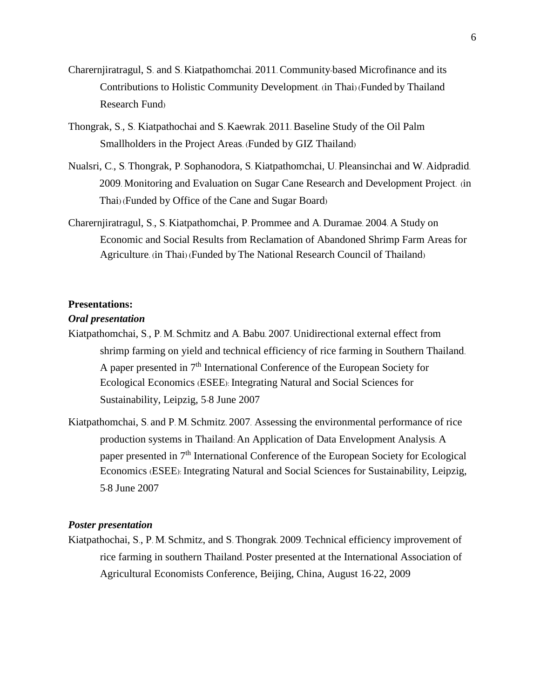- Charernjiratragul, S. and S. Kiatpathomchai. 2011. Community-based Microfinance and its Contributions to Holistic Community Development. (in Thai) (Funded by Thailand Research Fund)
- Thongrak, S., S. Kiatpathochai and S. Kaewrak. 2011. Baseline Study of the Oil Palm Smallholders in the Project Areas. (Funded by GIZ Thailand)
- Nualsri, C., S. Thongrak, P. Sophanodora, S. Kiatpathomchai, U. Pleansinchai and W. Aidpradid. 2009. Monitoring and Evaluation on Sugar Cane Research and Development Project. (in Thai) (Funded by Office of the Cane and Sugar Board)
- Charernjiratragul, S., S. Kiatpathomchai, P. Prommee and A. Duramae. 2004. A Study on Economic and Social Results from Reclamation of Abandoned Shrimp Farm Areas for Agriculture. (in Thai) (Funded byThe National Research Council of Thailand)

### **Presentations:**

#### *Oral presentation*

- Kiatpathomchai, S., P. M. Schmitz and A. Babu. 2007. Unidirectional external effect from shrimp farming on yield and technical efficiency of rice farming in Southern Thailand. A paper presented in 7th International Conference of the European Society for Ecological Economics (ESEE): Integrating Natural and Social Sciences for Sustainability, Leipzig, 5-8 June 2007
- Kiatpathomchai, S. and P. M. Schmitz. 2007. Assessing the environmental performance of rice production systems in Thailand: An Application of Data Envelopment Analysis. A paper presented in 7th International Conference of the European Society for Ecological Economics (ESEE): Integrating Natural and Social Sciences for Sustainability, Leipzig, 5-8 June 2007

#### *Poster presentation*

Kiatpathochai, S., P. M. Schmitz, and S. Thongrak. 2009. Technical efficiency improvement of rice farming in southern Thailand. Poster presented at the International Association of Agricultural Economists Conference, Beijing, China, August 16-22, 2009